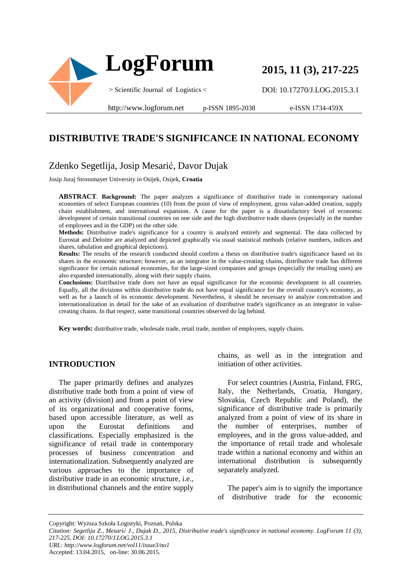

**2015, 11 (3), 217-225**

DOI: 10.17270/J.LOG.2015.3.1

e-ISSN 1734-459X

## **DISTRIBUTIVE TRADE'S SIGNIFICANCE IN NATIONAL ECONOMY**

## Zdenko Segetlija, Josip Mesarić, Davor Dujak

Josip Juraj Strossmayer University in Osijek, Osijek, **Croatia**

**ABSTRACT**. **Background:** The paper analyzes a significance of distributive trade in contemporary national economies of select European countries (10) from the point of view of employment, gross value-added creation, supply chain establishment, and international expansion. A cause for the paper is a dissatisfactory level of economic development of certain transitional countries on one side and the high distributive trade shares (especially in the number of employees and in the GDP) on the other side.

**Methods:** Distributive trade's significance for a country is analyzed entirely and segmental. The data collected by Eurostat and Deloitte are analyzed and depicted graphically via usual statistical methods (relative numbers, indices and shares, tabulation and graphical depictions).

**Results:** The results of the research conducted should confirm a thesis on distributive trade's significance based on its shares in the economic structure; however, as an integrator in the value-creating chains, distributive trade has different significance for certain national economies, for the large-sized companies and groups (especially the retailing ones) are also expanded internationally, along with their supply chains.

**Conclusions:** Distributive trade does not have an equal significance for the economic development in all countries. Equally, all the divisions within distributive trade do not have equal significance for the overall country's economy, as well as for a launch of its economic development. Nevertheless, it should be necessary to analyze concentration and internationalization in detail for the sake of an evaluation of distributive trade's significance as an integrator in valuecreating chains. In that respect, some transitional countries observed do lag behind.

**Key words:** distributive trade, wholesale trade, retail trade, number of employees, supply chains.

#### **INTRODUCTION**

The paper primarily defines and analyzes distributive trade both from a point of view of an activity (division) and from a point of view of its organizational and cooperative forms, based upon accessible literature, as well as upon the Eurostat definitions and classifications. Especially emphasized is the significance of retail trade in contemporary processes of business concentration and internationalization. Subsequently analyzed are various approaches to the importance of distributive trade in an economic structure, i.e., in distributional channels and the entire supply

chains, as well as in the integration and initiation of other activities.

For select countries (Austria, Finland, FRG, Italy, the Netherlands, Croatia, Hungary, Slovakia, Czech Republic and Poland), the significance of distributive trade is primarily analyzed from a point of view of its share in the number of enterprises, number of employees, and in the gross value-added, and the importance of retail trade and wholesale trade within a national economy and within an international distribution is subsequently separately analyzed.

The paper's aim is to signify the importance of distributive trade for the economic

Copyright: Wyższa Szkoła Logistyki, Poznań, Polska

*Citation: Segetlija Z., Mesarić J., Dujak D., 2015, Distributive trade's significance in national economy. LogForum 11 (3), 217-225, DOI: 10.17270/J.LOG.2015.3.1 URL: http://www.logforum.net/vol11/issue3/no1*

Accepted: 13.04.2015, on-line: 30.06.2015.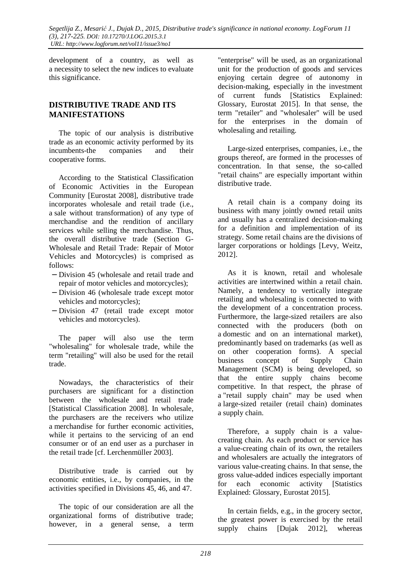development of a country, as well as a necessity to select the new indices to evaluate this significance.

### **DISTRIBUTIVE TRADE AND ITS MANIFESTATIONS**

The topic of our analysis is distributive trade as an economic activity performed by its incumbents-the companies and their cooperative forms.

According to the Statistical Classification of Economic Activities in the European Community [Eurostat 2008], distributive trade incorporates wholesale and retail trade (i.e., a sale without transformation) of any type of merchandise and the rendition of ancillary services while selling the merchandise. Thus, the overall distributive trade (Section G-Wholesale and Retail Trade: Repair of Motor Vehicles and Motorcycles) is comprised as follows:

- − Division 45 (wholesale and retail trade and repair of motor vehicles and motorcycles);
- − Division 46 (wholesale trade except motor vehicles and motorcycles);
- − Division 47 (retail trade except motor vehicles and motorcycles).

The paper will also use the term "wholesaling" for wholesale trade, while the term "retailing" will also be used for the retail trade.

Nowadays, the characteristics of their purchasers are significant for a distinction between the wholesale and retail trade [Statistical Classification 2008]. In wholesale, the purchasers are the receivers who utilize a merchandise for further economic activities, while it pertains to the servicing of an end consumer or of an end user as a purchaser in the retail trade [cf. Lerchenmüller 2003].

Distributive trade is carried out by economic entities, i.e., by companies, in the activities specified in Divisions 45, 46, and 47.

The topic of our consideration are all the organizational forms of distributive trade; however, in a general sense, a term

"enterprise" will be used, as an organizational unit for the production of goods and services enjoying certain degree of autonomy in decision-making, especially in the investment of current funds [Statistics Explained: Glossary, Eurostat 2015]. In that sense, the term "retailer" and "wholesaler" will be used for the enterprises in the domain of wholesaling and retailing.

Large-sized enterprises, companies, i.e., the groups thereof, are formed in the processes of concentration. In that sense, the so-called "retail chains" are especially important within distributive trade.

A retail chain is a company doing its business with many jointly owned retail units and usually has a centralized decision-making for a definition and implementation of its strategy. Some retail chains are the divisions of larger corporations or holdings [Levy, Weitz, 2012].

As it is known, retail and wholesale activities are intertwined within a retail chain. Namely, a tendency to vertically integrate retailing and wholesaling is connected to with the development of a concentration process. Furthermore, the large-sized retailers are also connected with the producers (both on a domestic and on an international market), predominantly based on trademarks (as well as on other cooperation forms). A special business concept of Supply Chain Management (SCM) is being developed, so that the entire supply chains become competitive. In that respect, the phrase of a "retail supply chain" may be used when a large-sized retailer (retail chain) dominates a supply chain.

Therefore, a supply chain is a valuecreating chain. As each product or service has a value-creating chain of its own, the retailers and wholesalers are actually the integrators of various value-creating chains. In that sense, the gross value-added indices especially important for each economic activity [Statistics Explained: Glossary, Eurostat 2015].

In certain fields, e.g., in the grocery sector, the greatest power is exercised by the retail supply chains [Dujak 2012], whereas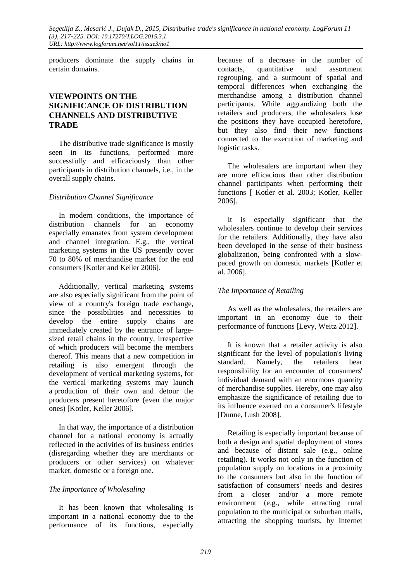producers dominate the supply chains in certain domains.

### **VIEWPOINTS ON THE SIGNIFICANCE OF DISTRIBUTION CHANNELS AND DISTRIBUTIVE TRADE**

The distributive trade significance is mostly seen in its functions, performed more successfully and efficaciously than other participants in distribution channels, i.e., in the overall supply chains.

#### *Distribution Channel Significance*

In modern conditions, the importance of distribution channels for an economy especially emanates from system development and channel integration. E.g., the vertical marketing systems in the US presently cover 70 to 80% of merchandise market for the end consumers [Kotler and Keller 2006].

Additionally, vertical marketing systems are also especially significant from the point of view of a country's foreign trade exchange, since the possibilities and necessities to develop the entire supply chains are immediately created by the entrance of largesized retail chains in the country, irrespective of which producers will become the members thereof. This means that a new competition in retailing is also emergent through the development of vertical marketing systems, for the vertical marketing systems may launch a production of their own and detour the producers present heretofore (even the major ones) [Kotler, Keller 2006].

In that way, the importance of a distribution channel for a national economy is actually reflected in the activities of its business entities (disregarding whether they are merchants or producers or other services) on whatever market, domestic or a foreign one.

### *The Importance of Wholesaling*

It has been known that wholesaling is important in a national economy due to the performance of its functions, especially because of a decrease in the number of contacts, quantitative and assortment regrouping, and a surmount of spatial and temporal differences when exchanging the merchandise among a distribution channel participants. While aggrandizing both the retailers and producers, the wholesalers lose the positions they have occupied heretofore, but they also find their new functions connected to the execution of marketing and logistic tasks.

The wholesalers are important when they are more efficacious than other distribution channel participants when performing their functions [ Kotler et al. 2003; Kotler, Keller 2006].

It is especially significant that the wholesalers continue to develop their services for the retailers. Additionally, they have also been developed in the sense of their business globalization, being confronted with a slowpaced growth on domestic markets [Kotler et al. 2006].

#### *The Importance of Retailing*

As well as the wholesalers, the retailers are important in an economy due to their performance of functions [Levy, Weitz 2012].

It is known that a retailer activity is also significant for the level of population's living standard. Namely, the retailers bear responsibility for an encounter of consumers' individual demand with an enormous quantity of merchandise supplies. Hereby, one may also emphasize the significance of retailing due to its influence exerted on a consumer's lifestyle [Dunne, Lush 2008].

Retailing is especially important because of both a design and spatial deployment of stores and because of distant sale (e.g., online retailing). It works not only in the function of population supply on locations in a proximity to the consumers but also in the function of satisfaction of consumers' needs and desires from a closer and/or a more remote environment (e.g., while attracting rural population to the municipal or suburban malls, attracting the shopping tourists, by Internet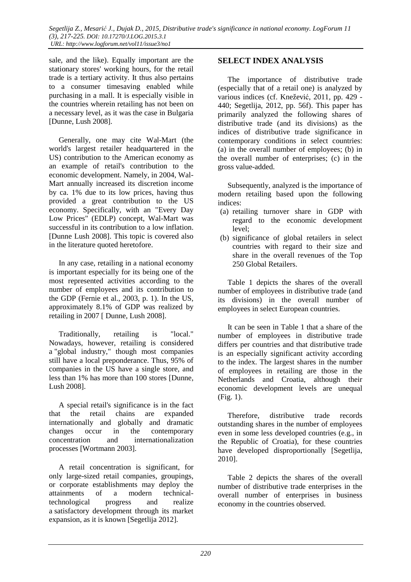sale, and the like). Equally important are the stationary stores' working hours, for the retail trade is a tertiary activity. It thus also pertains to a consumer timesaving enabled while purchasing in a mall. It is especially visible in the countries wherein retailing has not been on a necessary level, as it was the case in Bulgaria [Dunne, Lush 2008].

Generally, one may cite Wal-Mart (the world's largest retailer headquartered in the US) contribution to the American economy as an example of retail's contribution to the economic development. Namely, in 2004, Wal-Mart annually increased its discretion income by ca. 1% due to its low prices, having thus provided a great contribution to the US economy. Specifically, with an "Every Day Low Prices" (EDLP) concept, Wal-Mart was successful in its contribution to a low inflation. [Dunne Lush 2008]. This topic is covered also in the literature quoted heretofore.

In any case, retailing in a national economy is important especially for its being one of the most represented activities according to the number of employees and its contribution to the GDP (Fernie et al., 2003, p. 1). In the US, approximately 8.1% of GDP was realized by retailing in 2007 [ Dunne, Lush 2008].

Traditionally, retailing is "local." Nowadays, however, retailing is considered a "global industry," though most companies still have a local preponderance. Thus, 95% of companies in the US have a single store, and less than 1% has more than 100 stores [Dunne, Lush 2008].

A special retail's significance is in the fact that the retail chains are expanded internationally and globally and dramatic changes occur in the contemporary concentration and internationalization processes [Wortmann 2003].

A retail concentration is significant, for only large-sized retail companies, groupings, or corporate establishments may deploy the attainments of a modern technicaltechnological progress and realize a satisfactory development through its market expansion, as it is known [Segetlija 2012].

### **SELECT INDEX ANALYSIS**

The importance of distributive trade (especially that of a retail one) is analyzed by various indices (cf. Knežević, 2011, pp. 429 - 440; Segetlija, 2012, pp. 56f). This paper has primarily analyzed the following shares of distributive trade (and its divisions) as the indices of distributive trade significance in contemporary conditions in select countries: (a) in the overall number of employees; (b) in the overall number of enterprises; (c) in the gross value-added.

Subsequently, analyzed is the importance of modern retailing based upon the following indices:

- (a) retailing turnover share in GDP with regard to the economic development level;
- (b) significance of global retailers in select countries with regard to their size and share in the overall revenues of the Top 250 Global Retailers.

Table 1 depicts the shares of the overall number of employees in distributive trade (and its divisions) in the overall number of employees in select European countries.

It can be seen in Table 1 that a share of the number of employees in distributive trade differs per countries and that distributive trade is an especially significant activity according to the index. The largest shares in the number of employees in retailing are those in the Netherlands and Croatia, although their economic development levels are unequal (Fig. 1).

Therefore, distributive trade records outstanding shares in the number of employees even in some less developed countries (e.g., in the Republic of Croatia), for these countries have developed disproportionally [Segetlija, 2010].

Table 2 depicts the shares of the overall number of distributive trade enterprises in the overall number of enterprises in business economy in the countries observed.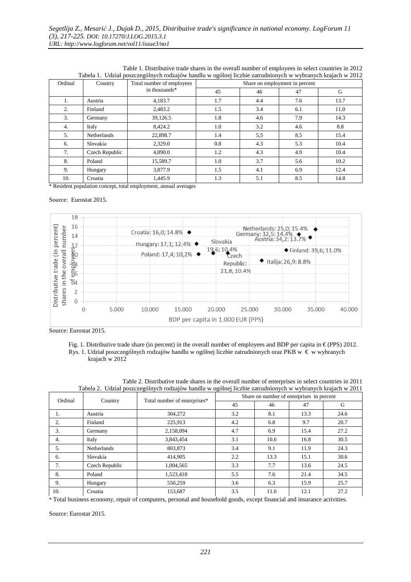| Tuoche 1. Guzhar poszczegom yen rouzajow nanura w ogomej nezore zau aumonyen w wyoranyen krajach w 2012 |                    |                                            |                                |     |     |      |  |
|---------------------------------------------------------------------------------------------------------|--------------------|--------------------------------------------|--------------------------------|-----|-----|------|--|
| Ordinal                                                                                                 | Country            | Total number of employees<br>in thousands* | Share on employment in percent |     |     |      |  |
|                                                                                                         |                    |                                            | 45                             | 46  | 47  | G    |  |
| 1.                                                                                                      | Austria            | 4.183.7                                    | 1.7                            | 4.4 | 7.6 | 13.7 |  |
| 2.                                                                                                      | Finland            | 2.483.2                                    | 1.5                            | 3.4 | 6.1 | 11.0 |  |
| 3.                                                                                                      | Germany            | 39,126.5                                   | 1.8                            | 4.6 | 7.9 | 14.3 |  |
| 4.                                                                                                      | Italy              | 8,424.2                                    | 1.0                            | 3.2 | 4.6 | 8.8  |  |
| 5.                                                                                                      | <b>Netherlands</b> | 22,898.7                                   | 1.4                            | 5,5 | 8.5 | 15.4 |  |
| 6.                                                                                                      | Slovakia           | 2,329.0                                    | 0.8                            | 4.3 | 5.3 | 10.4 |  |
| 7.                                                                                                      | Czech Republic     | 4,890.0                                    | 1.2                            | 4.3 | 4.9 | 10.4 |  |
| 8.                                                                                                      | Poland             | 15,589.7                                   | 1.0                            | 3.7 | 5.6 | 10.2 |  |
| 9.                                                                                                      | Hungary            | 3,877.9                                    | 1.5                            | 4.1 | 6.9 | 12.4 |  |
| 10.                                                                                                     | Croatia            | 1.445.9                                    | 1.3                            | 5.1 | 8.5 | 14.8 |  |

Table 1. Distributive trade shares in the overall number of employees in select countries in 2012 Tabela 1. Udział poszczególnych rodzajów handlu w ogólnej liczbie zatrudnionych w wybranych krajach w 2012

\* Resident population concept, total employment, annual averages

#### Source: Eurostat 2015.



Source: Eurostat 2015.

Fig. 1. Distributive trade share (in percent) in the overall number of employees and BDP per capita in  $\epsilon$  (PPS) 2012. Rys. 1. Udział poszczególnych rodzajów handlu w ogólnej liczbie zatrudnionych oraz PKB w € w wybranych krajach w 2012

| Ordinal | Country            | Total number of enterprises* | Share on number of enterprises in percent |      |      |      |
|---------|--------------------|------------------------------|-------------------------------------------|------|------|------|
|         |                    |                              | 45                                        | 46   | 47   | G    |
| 1.      | Austria            | 304,272                      | 3.2                                       | 8.1  | 13.3 | 24.6 |
| 2.      | Finland            | 225,913                      | 4.2                                       | 6.8  | 9.7  | 20.7 |
| 3.      | Germany            | 2,158,094                    | 4.7                                       | 6.9  | 15.4 | 27.2 |
| 4.      | Italy              | 3,843,454                    | 3.1                                       | 10.6 | 16.8 | 30.5 |
| 5.      | <b>Netherlands</b> | 803,873                      | 3.4                                       | 9.1  | 11.9 | 24.3 |
| 6.      | Slovakia           | 414,905                      | 2.2                                       | 13.3 | 15.1 | 30.6 |
| 7.      | Czech Republic     | 1,004,565                    | 3.3                                       | 7.7  | 13.6 | 24.5 |
| 8.      | Poland             | 1,523,418                    | 5.5                                       | 7.6  | 21.4 | 34.5 |
| 9.      | Hungary            | 550,259                      | 3.6                                       | 6.3  | 15.9 | 25.7 |
| 10.     | Croatia            | 153,687                      | 3.5                                       | 11.6 | 12.1 | 27.2 |

Table 2. Distributive trade shares in the overall number of enterprises in select countries in 2011 Tabela 2. Udział poszczególnych rodzajów handlu w ogólnej liczbie zatrudnionych w wybranych krajach w 2011

\* Total business economy, repair of computers, personal and household goods, except financial and insurance activities.

Source: Eurostat 2015.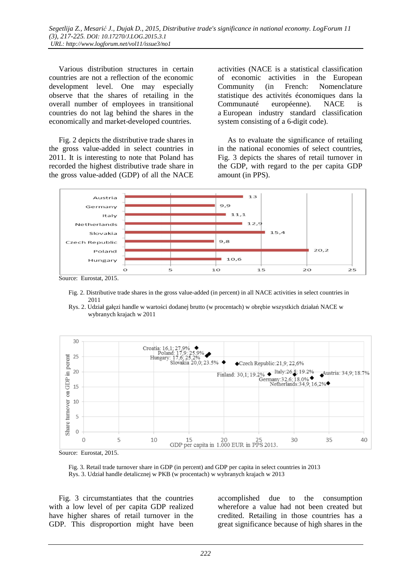Various distribution structures in certain countries are not a reflection of the economic development level. One may especially observe that the shares of retailing in the overall number of employees in transitional countries do not lag behind the shares in the economically and market-developed countries.

Fig. 2 depicts the distributive trade shares in the gross value-added in select countries in 2011. It is interesting to note that Poland has recorded the highest distributive trade share in the gross value-added (GDP) of all the NACE

activities (NACE is a statistical classification of economic activities in the European Community (in French: Nomenclature statistique des activités économiques dans la Communauté européenne). NACE is a European industry standard classification system consisting of a 6-digit code).

As to evaluate the significance of retailing in the national economies of select countries, Fig. 3 depicts the shares of retail turnover in the GDP, with regard to the per capita GDP amount (in PPS).



 Fig. 2. Distributive trade shares in the gross value-added (in percent) in all NACE activities in select countries in 2011





Source: Eurostat, 2015.

 Fig. 3. Retail trade turnover share in GDP (in percent) and GDP per capita in select countries in 2013 Rys. 3. Udział handle detalicznej w PKB (w procentach) w wybranych krajach w 2013

Fig. 3 circumstantiates that the countries with a low level of per capita GDP realized have higher shares of retail turnover in the GDP. This disproportion might have been accomplished due to the consumption wherefore a value had not been created but credited. Retailing in those countries has a great significance because of high shares in the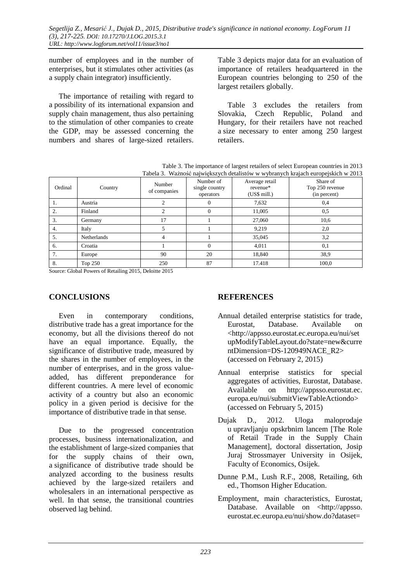number of employees and in the number of enterprises, but it stimulates other activities (as a supply chain integrator) insufficiently.

The importance of retailing with regard to a possibility of its international expansion and supply chain management, thus also pertaining to the stimulation of other companies to create the GDP, may be assessed concerning the numbers and shares of large-sized retailers.

Table 3 depicts major data for an evaluation of importance of retailers headquartered in the European countries belonging to 250 of the largest retailers globally.

Table 3 excludes the retailers from Slovakia, Czech Republic, Poland and Hungary, for their retailers have not reached a size necessary to enter among 250 largest retailers.

Table 3. The importance of largest retailers of select European countries in 2013 Tabela 3. Ważność największych detalistów w wybranych krajach europejskich w 2013

| Tabela 5. Wazilost największych detalistów w wybranych Krajach europejskich w 2015 |                    |                        |                                          |                                            |                                             |  |
|------------------------------------------------------------------------------------|--------------------|------------------------|------------------------------------------|--------------------------------------------|---------------------------------------------|--|
| Ordinal                                                                            | Country            | Number<br>of companies | Number of<br>single country<br>operators | Average retail<br>revenue*<br>(US\$ mill.) | Share of<br>Top 250 revenue<br>(in percent) |  |
| 1.                                                                                 | Austria            |                        | U                                        | 7,632                                      | 0,4                                         |  |
| 2.                                                                                 | Finland            |                        | $\Omega$                                 | 11,005                                     | 0,5                                         |  |
| 3.                                                                                 | Germany            | 17                     |                                          | 27,060                                     | 10,6                                        |  |
| 4.                                                                                 | Italy              |                        |                                          | 9.219                                      | 2,0                                         |  |
| 5.                                                                                 | <b>Netherlands</b> | 4                      |                                          | 35,045                                     | 3,2                                         |  |
| 6.                                                                                 | Croatia            |                        | $\Omega$                                 | 4,011                                      | 0,1                                         |  |
| 7.                                                                                 | Europe             | 90                     | 20                                       | 18,840                                     | 38.9                                        |  |
| 8.                                                                                 | Top 250            | 250                    | 87                                       | 17.418                                     | 100.0                                       |  |

Source: Global Powers of Retailing 2015, Deloitte 2015

### **CONCLUSIONS**

Even in contemporary conditions, distributive trade has a great importance for the economy, but all the divisions thereof do not have an equal importance. Equally, the significance of distributive trade, measured by the shares in the number of employees, in the number of enterprises, and in the gross valueadded, has different preponderance for different countries. A mere level of economic activity of a country but also an economic policy in a given period is decisive for the importance of distributive trade in that sense.

Due to the progressed concentration processes, business internationalization, and the establishment of large-sized companies that for the supply chains of their own, a significance of distributive trade should be analyzed according to the business results achieved by the large-sized retailers and wholesalers in an international perspective as well. In that sense, the transitional countries observed lag behind.

### **REFERENCES**

- Annual detailed enterprise statistics for trade, Eurostat, Database. Available on <http://appsso.eurostat.ec.europa.eu/nui/set upModifyTableLayout.do?state=new&curre ntDimension=DS-120949NACE\_R2> (accessed on February 2, 2015)
- Annual enterprise statistics for special aggregates of activities, Eurostat, Database. Available on http://appsso.eurostat.ec. europa.eu/nui/submitViewTableActiondo> (accessed on February 5, 2015)
- Dujak D., 2012. Uloga maloprodaje u upravljanju opskrbnim lancem [The Role of Retail Trade in the Supply Chain Management], doctoral dissertation, Josip Juraj Strossmayer University in Osijek, Faculty of Economics, Osijek.
- Dunne P.M., Lush R.F., 2008, Retailing, 6th ed., Thomson Higher Education.
- Employment, main characteristics, Eurostat, Database. Available on <http://appsso. eurostat.ec.europa.eu/nui/show.do?dataset=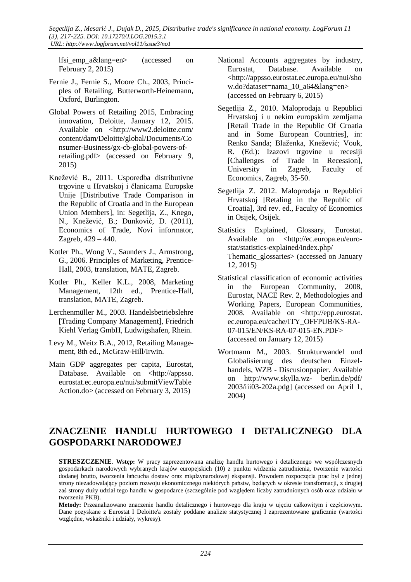lfsi\_emp\_a&lang=en> (accessed on February 2, 2015)

- Fernie J., Fernie S., Moore Ch., 2003, Principles of Retailing, Butterworth-Heinemann, Oxford, Burlington.
- Global Powers of Retailing 2015, Embracing innovation, Deloitte, January 12, 2015. Available on <http://www2.deloitte.com/ content/dam/Deloitte/global/Documents/Co nsumer-Business/gx-cb-global-powers-ofretailing.pdf> (accessed on February 9, 2015)
- Knežević B., 2011. Usporedba distributivne trgovine u Hrvatskoj i članicama Europske Unije [Distributive Trade Comparison in the Republic of Croatia and in the European Union Members], in: Segetlija, Z., Knego, N., Knežević, B.; Dunković, D. (2011), Economics of Trade, Novi informator, Zagreb, 429 – 440.
- Kotler Ph., Wong V., Saunders J., Armstrong, G., 2006. Principles of Marketing, Prentice-Hall, 2003, translation, MATE, Zagreb.
- Kotler Ph., Keller K.L., 2008, Marketing Management, 12th ed., Prentice-Hall, translation, MATE, Zagreb.
- Lerchenmüller M., 2003. Handelsbetriebslehre [Trading Company Management], Friedrich Kiehl Verlag GmbH, Ludwigshafen, Rhein.
- Levy M., Weitz B.A., 2012, Retailing Management, 8th ed., McGraw-Hill/Irwin.
- Main GDP aggregates per capita, Eurostat, Database. Available on <http://appsso. eurostat.ec.europa.eu/nui/submitViewTable Action.do> (accessed on February 3, 2015)
- National Accounts aggregates by industry, Eurostat, Database. Available on <http://appsso.eurostat.ec.europa.eu/nui/sho w.do?dataset=nama\_10\_a64&lang=en> (accessed on February 6, 2015)
- Segetlija Z., 2010. Maloprodaja u Republici Hrvatskoj i u nekim europskim zemljama [Retail Trade in the Republic Of Croatia and in Some European Countries], in: Renko Sanda; Blaženka, Knežević; Vouk, R. (Ed.): Izazovi trgovine u recesiji [Challenges of Trade in Recession], University in Zagreb, Faculty of Economics, Zagreb, 35-50.
- Segetlija Z. 2012. Maloprodaja u Republici Hrvatskoj [Retaling in the Republic of Croatia], 3rd rev. ed., Faculty of Economics in Osijek, Osijek.
- Statistics Explained, Glossary, Eurostat. Available on <http://ec.europa.eu/eurostat/statistics-explained/index.php/ Thematic\_glossaries> (accessed on January 12, 2015)
- Statistical classification of economic activities in the European Community, 2008, Eurostat, NACE Rev. 2, Methodologies and Working Papers, European Communities, 2008. Available on <http://epp.eurostat. ec.europa.eu/cache/ITY\_OFFPUB/KS-RA-07-015/EN/KS-RA-07-015-EN.PDF> (accessed on January 12, 2015)
- Wortmann M., 2003. Strukturwandel und Globalisierung des deutschen Einzelhandels, WZB - Discusionpapier. Available on http://www.skylla.wz- berlin.de/pdf/ 2003/iii03-202a.pdg] (accessed on April 1, 2004)

# **ZNACZENIE HANDLU HURTOWEGO I DETALICZNEGO DLA GOSPODARKI NARODOWEJ**

**STRESZCZENIE.** Wstep: W pracy zaprezentowana analize handlu hurtowego i detalicznego we współczesnych gospodarkach narodowych wybranych krajów europejskich (10) z punktu widzenia zatrudnienia, tworzenie wartości dodanej brutto, tworzenia łańcucha dostaw oraz międzynarodowej ekspansji. Powodem rozpoczęcia prac był z jednej strony niezadowalający poziom rozwoju ekonomicznego niektórych państw, będących w okresie transformacji, z drugiej zaś strony duży udział tego handlu w gospodarce (szczególnie pod względem liczby zatrudnionych osób oraz udziału w tworzeniu PKB).

**Metody:** Przeanalizowano znaczenie handlu detalicznego i hurtowego dla kraju w ujęciu całkowitym i częściowym. Dane pozyskane z Eurostat I Deloitte'a zostały poddane analizie statystycznej I zaprezentowane graficznie (wartości względne, wskaźniki i udziały, wykresy).